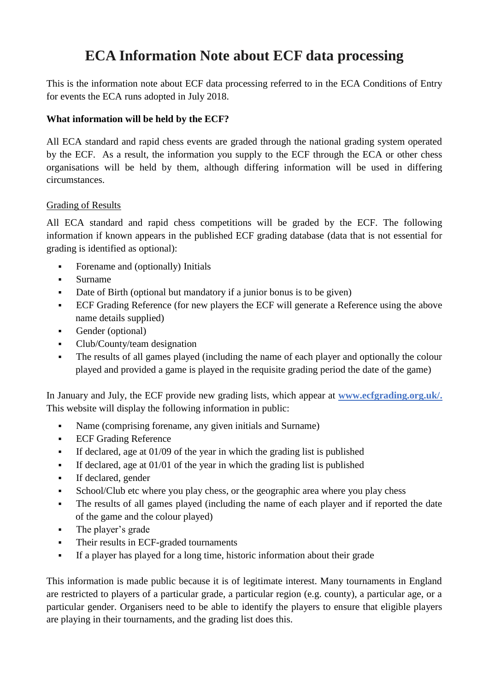# **ECA Information Note about ECF data processing**

This is the information note about ECF data processing referred to in the ECA Conditions of Entry for events the ECA runs adopted in July 2018.

## **What information will be held by the ECF?**

All ECA standard and rapid chess events are graded through the national grading system operated by the ECF. As a result, the information you supply to the ECF through the ECA or other chess organisations will be held by them, although differing information will be used in differing circumstances.

#### Grading of Results

All ECA standard and rapid chess competitions will be graded by the ECF. The following information if known appears in the published ECF grading database (data that is not essential for grading is identified as optional):

- **•** Forename and (optionally) Initials
- Surname
- Date of Birth (optional but mandatory if a junior bonus is to be given)
- ECF Grading Reference (for new players the ECF will generate a Reference using the above name details supplied)
- Gender (optional)
- Club/County/team designation
- The results of all games played (including the name of each player and optionally the colour played and provided a game is played in the requisite grading period the date of the game)

In January and July, the ECF provide new grading lists, which appear at **[www.ecfgrading.org.uk/.](http://www.ecfgrading.org.uk/)**  This website will display the following information in public:

- Name (comprising forename, any given initials and Surname)
- **ECF Grading Reference**
- If declared, age at 01/09 of the year in which the grading list is published
- **•** If declared, age at  $01/01$  of the year in which the grading list is published
- If declared, gender
- School/Club etc where you play chess, or the geographic area where you play chess
- The results of all games played (including the name of each player and if reported the date of the game and the colour played)
- The player's grade
- **•** Their results in ECF-graded tournaments
- If a player has played for a long time, historic information about their grade

This information is made public because it is of legitimate interest. Many tournaments in England are restricted to players of a particular grade, a particular region (e.g. county), a particular age, or a particular gender. Organisers need to be able to identify the players to ensure that eligible players are playing in their tournaments, and the grading list does this.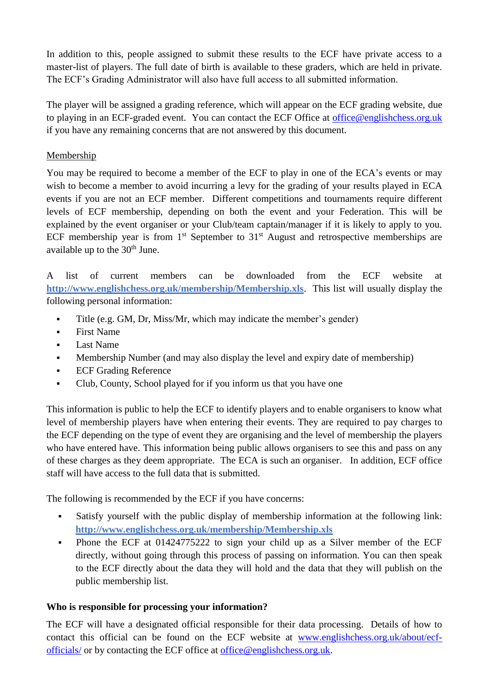In addition to this, people assigned to submit these results to the ECF have private access to a master-list of players. The full date of birth is available to these graders, which are held in private. The ECF's Grading Administrator will also have full access to all submitted information.

The player will be assigned a grading reference, which will appear on the ECF grading website, due to playing in an ECF-graded event. You can contact the ECF Office at [office@englishchess.org.uk](mailto:office@englishchess.org.uk) if you have any remaining concerns that are not answered by this document.

## Membership

You may be required to become a member of the ECF to play in one of the ECA's events or may wish to become a member to avoid incurring a levy for the grading of your results played in ECA events if you are not an ECF member. Different competitions and tournaments require different levels of ECF membership, depending on both the event and your Federation. This will be explained by the event organiser or your Club/team captain/manager if it is likely to apply to you. ECF membership year is from  $1<sup>st</sup>$  September to  $31<sup>st</sup>$  August and retrospective memberships are available up to the  $30<sup>th</sup>$  June.

A list of current members can be downloaded from the ECF website at **<http://www.englishchess.org.uk/membership/Membership.xls>**. This list will usually display the following personal information:

- Title (e.g. GM, Dr, Miss/Mr, which may indicate the member's gender)
- **First Name**
- Last Name
- Membership Number (and may also display the level and expiry date of membership)
- **ECF Grading Reference**
- Club, County, School played for if you inform us that you have one

This information is public to help the ECF to identify players and to enable organisers to know what level of membership players have when entering their events. They are required to pay charges to the ECF depending on the type of event they are organising and the level of membership the players who have entered have. This information being public allows organisers to see this and pass on any of these charges as they deem appropriate. The ECA is such an organiser. In addition, ECF office staff will have access to the full data that is submitted.

The following is recommended by the ECF if you have concerns:

- Satisfy yourself with the public display of membership information at the following link: **<http://www.englishchess.org.uk/membership/Membership.xls>**
- Phone the ECF at 01424775222 to sign your child up as a Silver member of the ECF directly, without going through this process of passing on information. You can then speak to the ECF directly about the data they will hold and the data that they will publish on the public membership list.

## **Who is responsible for processing your information?**

The ECF will have a designated official responsible for their data processing. Details of how to contact this official can be found on the ECF website at [www.englishchess.org.uk/about/ecf](http://www.englishchess.org.uk/about/ecf-officials/)[officials/](http://www.englishchess.org.uk/about/ecf-officials/) or by contacting the ECF office at [office@englishchess.org.uk.](mailto:office@englishchess.org.uk)